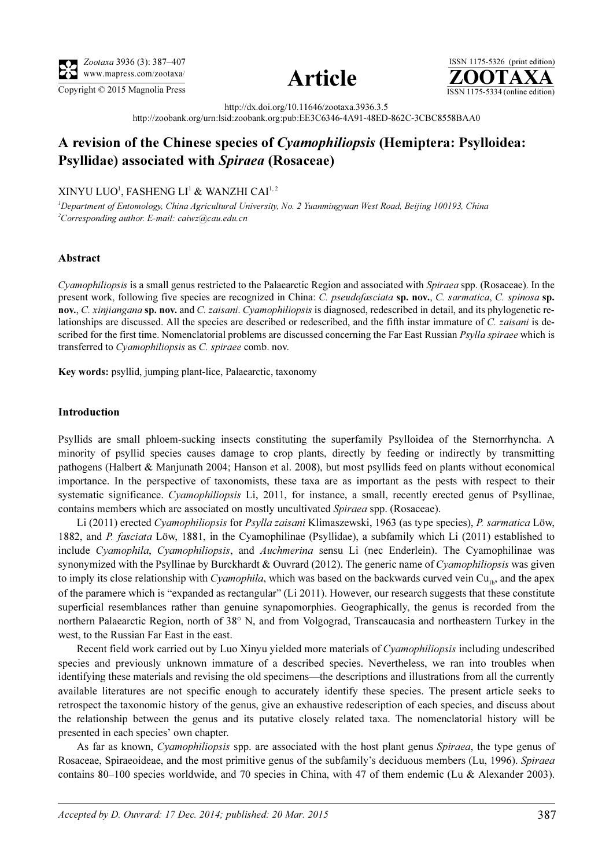





http://dx.doi.org/10.11646/zootaxa.3936.3.5

http://zoobank.org/urn:lsid:zoobank.org:pub:EE3C6346-4A91-48ED-862C-3CBC8558BAA0

# A revision of the Chinese species of Cyamophiliopsis (Hemiptera: Psylloidea: Psyllidae) associated with Spiraea (Rosaceae)

## XINYU LUO<sup>1</sup>, FASHENG LI<sup>1</sup> & WANZHI CAI<sup>1, 2</sup>

<sup>1</sup>Department of Entomology, China Agricultural University, No. 2 Yuanmingyuan West Road, Beijing 100193, China 2 Corresponding author. E-mail: caiwz@cau.edu.cn

## Abstract

Cyamophiliopsis is a small genus restricted to the Palaearctic Region and associated with Spiraea spp. (Rosaceae). In the present work, following five species are recognized in China: C. pseudofasciata sp. nov., C. sarmatica, C. spinosa sp. nov., C. xinjiangana sp. nov. and C. zaisani. Cyamophiliopsis is diagnosed, redescribed in detail, and its phylogenetic relationships are discussed. All the species are described or redescribed, and the fifth instar immature of C. zaisani is described for the first time. Nomenclatorial problems are discussed concerning the Far East Russian *Psylla spiraee* which is transferred to Cyamophiliopsis as C. spiraee comb. nov.

Key words: psyllid, jumping plant-lice, Palaearctic, taxonomy

#### Introduction

Psyllids are small phloem-sucking insects constituting the superfamily Psylloidea of the Sternorrhyncha. A minority of psyllid species causes damage to crop plants, directly by feeding or indirectly by transmitting pathogens (Halbert & Manjunath 2004; Hanson et al. 2008), but most psyllids feed on plants without economical importance. In the perspective of taxonomists, these taxa are as important as the pests with respect to their systematic significance. Cyamophiliopsis Li, 2011, for instance, a small, recently erected genus of Psyllinae, contains members which are associated on mostly uncultivated Spiraea spp. (Rosaceae).

Li (2011) erected Cyamophiliopsis for Psylla zaisani Klimaszewski, 1963 (as type species), P. sarmatica Löw, 1882, and P. fasciata Löw, 1881, in the Cyamophilinae (Psyllidae), a subfamily which Li (2011) established to include Cyamophila, Cyamophiliopsis, and Auchmerina sensu Li (nec Enderlein). The Cyamophilinae was synonymized with the Psyllinae by Burckhardt & Ouvrard (2012). The generic name of Cyamophiliopsis was given to imply its close relationship with *Cyamophila*, which was based on the backwards curved vein  $Cu<sub>1b</sub>$ , and the apex of the paramere which is "expanded as rectangular" (Li 2011). However, our research suggests that these constitute superficial resemblances rather than genuine synapomorphies. Geographically, the genus is recorded from the northern Palaearctic Region, north of 38° N, and from Volgograd, Transcaucasia and northeastern Turkey in the west, to the Russian Far East in the east.

Recent field work carried out by Luo Xinyu yielded more materials of Cyamophiliopsis including undescribed species and previously unknown immature of a described species. Nevertheless, we ran into troubles when identifying these materials and revising the old specimens—the descriptions and illustrations from all the currently available literatures are not specific enough to accurately identify these species. The present article seeks to retrospect the taxonomic history of the genus, give an exhaustive redescription of each species, and discuss about the relationship between the genus and its putative closely related taxa. The nomenclatorial history will be presented in each species' own chapter.

As far as known, Cyamophiliopsis spp. are associated with the host plant genus Spiraea, the type genus of Rosaceae, Spiraeoideae, and the most primitive genus of the subfamily's deciduous members (Lu, 1996). Spiraea contains 80–100 species worldwide, and 70 species in China, with 47 of them endemic (Lu & Alexander 2003).